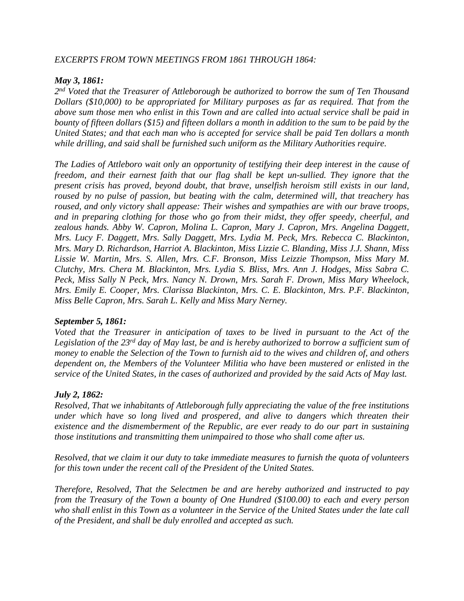#### *EXCERPTS FROM TOWN MEETINGS FROM 1861 THROUGH 1864:*

#### *May 3, 1861:*

*2 nd Voted that the Treasurer of Attleborough be authorized to borrow the sum of Ten Thousand Dollars (\$10,000) to be appropriated for Military purposes as far as required. That from the* above sum those men who enlist in this Town and are called into actual service shall be paid in bounty of fifteen dollars (\$15) and fifteen dollars a month in addition to the sum to be paid by the *United States; and that each man who is accepted for service shall be paid Ten dollars a month while drilling, and said shall be furnished such uniform as the Military Authorities require.* 

*The Ladies of Attleboro wait only an opportunity of testifying their deep interest in the cause of freedom, and their earnest faith that our flag shall be kept un-sullied. They ignore that the present crisis has proved, beyond doubt, that brave, unselfish heroism still exists in our land, roused by no pulse of passion, but beating with the calm, determined will, that treachery has roused, and only victory shall appease: Their wishes and sympathies are with our brave troops, and in preparing clothing for those who go from their midst, they offer speedy, cheerful, and zealous hands. Abby W. Capron, Molina L. Capron, Mary J. Capron, Mrs. Angelina Daggett, Mrs. Lucy F. Daggett, Mrs. Sally Daggett, Mrs. Lydia M. Peck, Mrs. Rebecca C. Blackinton, Mrs. Mary D. Richardson, Harriot A. Blackinton, Miss Lizzie C. Blanding, Miss J.J. Shann, Miss Lissie W. Martin, Mrs. S. Allen, Mrs. C.F. Bronson, Miss Leizzie Thompson, Miss Mary M. Clutchy, Mrs. Chera M. Blackinton, Mrs. Lydia S. Bliss, Mrs. Ann J. Hodges, Miss Sabra C. Peck, Miss Sally N Peck, Mrs. Nancy N. Drown, Mrs. Sarah F. Drown, Miss Mary Wheelock, Mrs. Emily E. Cooper, Mrs. Clarissa Blackinton, Mrs. C. E. Blackinton, Mrs. P.F. Blackinton, Miss Belle Capron, Mrs. Sarah L. Kelly and Miss Mary Nerney.*

#### *September 5, 1861:*

*Voted that the Treasurer in anticipation of taxes to be lived in pursuant to the Act of the* Legislation of the  $23^{rd}$  day of May last, be and is hereby authorized to borrow a sufficient sum of money to enable the Selection of the Town to furnish aid to the wives and children of, and others *dependent on, the Members of the Volunteer Militia who have been mustered or enlisted in the service of the United States, in the cases of authorized and provided by the said Acts of May last.*

### *July 2, 1862:*

*Resolved, That we inhabitants of Attleborough fully appreciating the value of the free institutions under which have so long lived and prospered, and alive to dangers which threaten their existence and the dismemberment of the Republic, are ever ready to do our part in sustaining those institutions and transmitting them unimpaired to those who shall come after us.*

*Resolved, that we claim it our duty to take immediate measures to furnish the quota of volunteers for this town under the recent call of the President of the United States.*

*Therefore, Resolved, That the Selectmen be and are hereby authorized and instructed to pay from the Treasury of the Town a bounty of One Hundred (\$100.00) to each and every person* who shall enlist in this Town as a volunteer in the Service of the United States under the late call *of the President, and shall be duly enrolled and accepted as such.*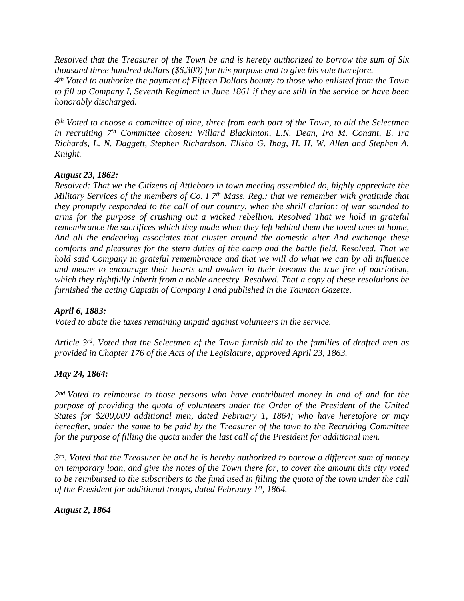*Resolved that the Treasurer of the Town be and is hereby authorized to borrow the sum of Six thousand three hundred dollars (\$6,300) for this purpose and to give his vote therefore.*

*4 th Voted to authorize the payment of Fifteen Dollars bounty to those who enlisted from the Town* to fill up Company I, Seventh Regiment in June 1861 if they are still in the service or have been *honorably discharged.*

 $6<sup>th</sup>$  Voted to choose a committee of nine, three from each part of the Town, to aid the Selectmen *in recruiting 7 th Committee chosen: Willard Blackinton, L.N. Dean, Ira M. Conant, E. Ira Richards, L. N. Daggett, Stephen Richardson, Elisha G. Ihag, H. H. W. Allen and Stephen A. Knight.*

# *August 23, 1862:*

*Resolved: That we the Citizens of Attleboro in town meeting assembled do, highly appreciate the Military Services of the members of Co. I 7 th Mass. Reg.; that we remember with gratitude that they promptly responded to the call of our country, when the shrill clarion: of war sounded to arms for the purpose of crushing out a wicked rebellion. Resolved That we hold in grateful remembrance the sacrifices which they made when they left behind them the loved ones at home, And all the endearing associates that cluster around the domestic alter And exchange these comforts and pleasures for the stern duties of the camp and the battle field. Resolved. That we hold said Company in grateful remembrance and that we will do what we can by all influence and means to encourage their hearts and awaken in their bosoms the true fire of patriotism, which they rightfully inherit from a noble ancestry. Resolved. That a copy of these resolutions be furnished the acting Captain of Company I and published in the Taunton Gazette.*

### *April 6, 1883:*

*Voted to abate the taxes remaining unpaid against volunteers in the service.*

Article 3<sup>rd</sup>. Voted that the Selectmen of the Town furnish aid to the families of drafted men as *provided in Chapter 176 of the Acts of the Legislature, approved April 23, 1863.*

# *May 24, 1864:*

*2 nd.Voted to reimburse to those persons who have contributed money in and of and for the purpose of providing the quota of volunteers under the Order of the President of the United States for \$200,000 additional men, dated February 1, 1864; who have heretofore or may hereafter, under the same to be paid by the Treasurer of the town to the Recruiting Committee for the purpose of filling the quota under the last call of the President for additional men.*

3<sup>rd</sup>. Voted that the Treasurer be and he is hereby authorized to borrow a different sum of money on temporary loan, and give the notes of the Town there for, to cover the amount this city voted to be reimbursed to the subscribers to the fund used in filling the quota of the town under the call *of the President for additional troops, dated February 1st, 1864.*

*August 2, 1864*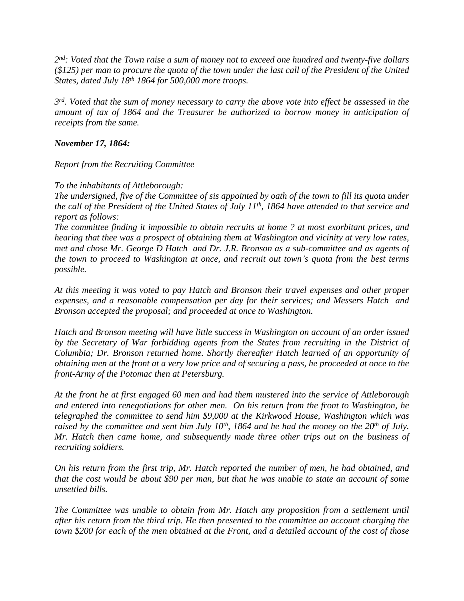2<sup>nd</sup>: Voted that the Town raise a sum of money not to exceed one hundred and twenty-five dollars  $(S125)$  per man to procure the quota of the town under the last call of the President of the United *States, dated July 18th 1864 for 500,000 more troops.*

3<sup>rd</sup>. Voted that the sum of money necessary to carry the above vote into effect be assessed in the *amount of tax of 1864 and the Treasurer be authorized to borrow money in anticipation of receipts from the same.*

### *November 17, 1864:*

### *Report from the Recruiting Committee*

### *To the inhabitants of Attleborough:*

The undersigned, five of the Committee of sis appointed by oath of the town to fill its quota under the call of the President of the United States of July  $11^{th}$ , 1864 have attended to that service and *report as follows:*

*The committee finding it impossible to obtain recruits at home ? at most exorbitant prices, and hearing that thee was a prospect of obtaining them at Washington and vicinity at very low rates, met and chose Mr. George D Hatch and Dr. J.R. Bronson as a sub-committee and as agents of the town to proceed to Washington at once, and recruit out town's quota from the best terms possible.*

*At this meeting it was voted to pay Hatch and Bronson their travel expenses and other proper expenses, and a reasonable compensation per day for their services; and Messers Hatch and Bronson accepted the proposal; and proceeded at once to Washington.*

*Hatch and Bronson meeting will have little success in Washington on account of an order issued by the Secretary of War forbidding agents from the States from recruiting in the District of Columbia; Dr. Bronson returned home. Shortly thereafter Hatch learned of an opportunity of* obtaining men at the front at a very low price and of securing a pass, he proceeded at once to the *front-Army of the Potomac then at Petersburg.*

*At the front he at first engaged 60 men and had them mustered into the service of Attleborough and entered into renegotiations for other men. On his return from the front to Washington, he telegraphed the committee to send him \$9,000 at the Kirkwood House, Washington which was* raised by the committee and sent him July  $10^{th}$ , 1864 and he had the money on the  $20^{th}$  of July. *Mr. Hatch then came home, and subsequently made three other trips out on the business of recruiting soldiers.*

*On his return from the first trip, Mr. Hatch reported the number of men, he had obtained, and* that the cost would be about \$90 per man, but that he was unable to state an account of some *unsettled bills.*

*The Committee was unable to obtain from Mr. Hatch any proposition from a settlement until after his return from the third trip. He then presented to the committee an account charging the* town \$200 for each of the men obtained at the Front, and a detailed account of the cost of those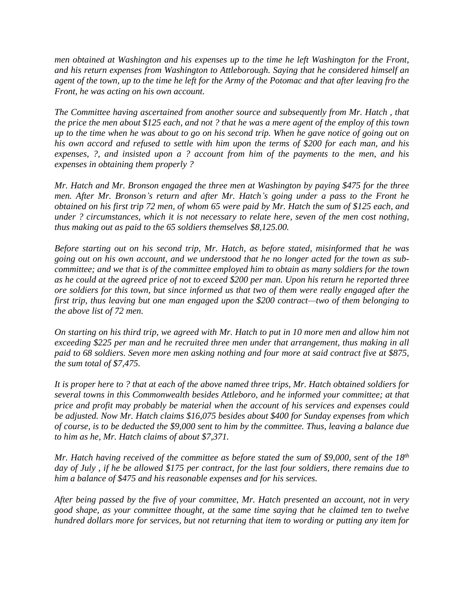*men obtained at Washington and his expenses up to the time he left Washington for the Front, and his return expenses from Washington to Attleborough. Saying that he considered himself an* agent of the town, up to the time he left for the Army of the Potomac and that after leaving fro the *Front, he was acting on his own account.*

*The Committee having ascertained from another source and subsequently from Mr. Hatch , that* the price the men about \$125 each, and not ? that he was a mere agent of the employ of this town up to the time when he was about to go on his second trip. When he gave notice of going out on *his own accord and refused to settle with him upon the terms of \$200 for each man, and his expenses, ?, and insisted upon a ? account from him of the payments to the men, and his expenses in obtaining them properly ?*

*Mr. Hatch and Mr. Bronson engaged the three men at Washington by paying \$475 for the three* men. After Mr. Bronson's return and after Mr. Hatch's going under a pass to the Front he obtained on his first trip 72 men, of whom 65 were paid by Mr. Hatch the sum of \$125 each, and *under ? circumstances, which it is not necessary to relate here, seven of the men cost nothing, thus making out as paid to the 65 soldiers themselves \$8,125.00.*

*Before starting out on his second trip, Mr. Hatch, as before stated, misinformed that he was* going out on his own account, and we understood that he no longer acted for the town as sub*committee; and we that is of the committee employed him to obtain as many soldiers for the town* as he could at the agreed price of not to exceed \$200 per man. Upon his return he reported three *ore soldiers for this town, but since informed us that two of them were really engaged after the first trip, thus leaving but one man engaged upon the \$200 contract—two of them belonging to the above list of 72 men.*

On starting on his third trip, we agreed with Mr. Hatch to put in 10 more men and allow him not *exceeding \$225 per man and he recruited three men under that arrangement, thus making in all paid to 68 soldiers. Seven more men asking nothing and four more at said contract five at \$875, the sum total of \$7,475.*

It is proper here to ? that at each of the above named three trips, Mr. Hatch obtained soldiers for *several towns in this Commonwealth besides Attleboro, and he informed your committee; at that price and profit may probably be material when the account of his services and expenses could be adjusted. Now Mr. Hatch claims \$16,075 besides about \$400 for Sunday expenses from which* of course, is to be deducted the \$9,000 sent to him by the committee. Thus, leaving a balance due *to him as he, Mr. Hatch claims of about \$7,371.* 

Mr. Hatch having received of the committee as before stated the sum of \$9,000, sent of the 18<sup>th</sup> day of July, if he be allowed \$175 per contract, for the last four soldiers, there remains due to *him a balance of \$475 and his reasonable expenses and for his services.*

*After being passed by the five of your committee, Mr. Hatch presented an account, not in very good shape, as your committee thought, at the same time saying that he claimed ten to twelve hundred dollars more for services, but not returning that item to wording or putting any item for*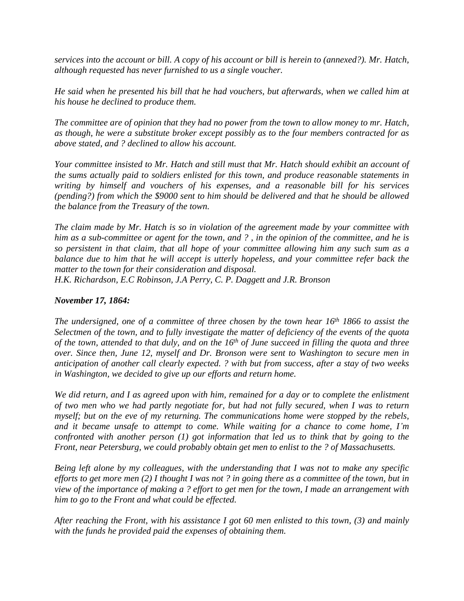services into the account or bill. A copy of his account or bill is herein to (annexed?). Mr. Hatch, *although requested has never furnished to us a single voucher.*

*He said when he presented his bill that he had vouchers, but afterwards, when we called him at his house he declined to produce them.*

The committee are of opinion that they had no power from the town to allow money to mr. Hatch, *as though, he were a substitute broker except possibly as to the four members contracted for as above stated, and ? declined to allow his account.*

*Your committee insisted to Mr. Hatch and still must that Mr. Hatch should exhibit an account of the sums actually paid to soldiers enlisted for this town, and produce reasonable statements in writing by himself and vouchers of his expenses, and a reasonable bill for his services (pending?) from which the \$9000 sent to him should be delivered and that he should be allowed the balance from the Treasury of the town.*

*The claim made by Mr. Hatch is so in violation of the agreement made by your committee with* him as a sub-committee or agent for the town, and ?, in the opinion of the committee, and he is *so persistent in that claim, that all hope of your committee allowing him any such sum as a balance due to him that he will accept is utterly hopeless, and your committee refer back the matter to the town for their consideration and disposal.*

*H.K. Richardson, E.C Robinson, J.A Perry, C. P. Daggett and J.R. Bronson*

## *November 17, 1864:*

The undersigned, one of a committee of three chosen by the town hear 16<sup>th</sup> 1866 to assist the Selectmen of the town, and to fully investigate the matter of deficiency of the events of the quota of the town, attended to that duly, and on the  $16<sup>th</sup>$  of June succeed in filling the quota and three *over. Since then, June 12, myself and Dr. Bronson were sent to Washington to secure men in anticipation of another call clearly expected. ? with but from success, after a stay of two weeks in Washington, we decided to give up our efforts and return home.*

We did return, and I as agreed upon with him, remained for a day or to complete the enlistment *of two men who we had partly negotiate for, but had not fully secured, when I was to return myself; but on the eve of my returning. The communications home were stopped by the rebels, and it became unsafe to attempt to come. While waiting for a chance to come home, I'm confronted with another person (1) got information that led us to think that by going to the Front, near Petersburg, we could probably obtain get men to enlist to the ? of Massachusetts.*

*Being left alone by my colleagues, with the understanding that I was not to make any specific* efforts to get more men  $(2)$  I thought I was not ? in going there as a committee of the town, but in view of the importance of making a ? effort to get men for the town, I made an arrangement with *him to go to the Front and what could be effected.*

*After reaching the Front, with his assistance I got 60 men enlisted to this town, (3) and mainly with the funds he provided paid the expenses of obtaining them.*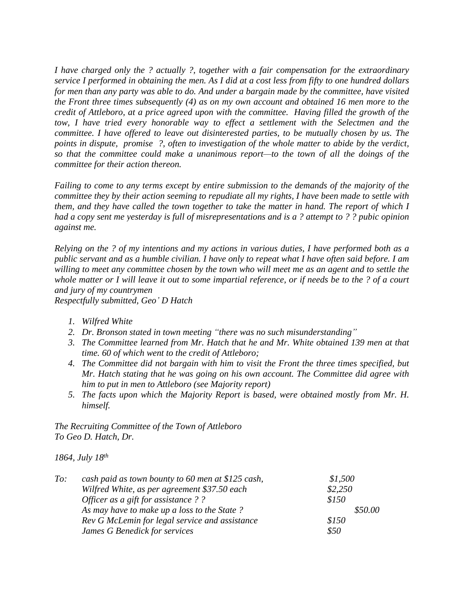*I have charged only the ? actually ?, together with a fair compensation for the extraordinary* service I performed in obtaining the men. As I did at a cost less from fifty to one hundred dollars for men than any party was able to do. And under a bargain made by the committee, have visited *the Front three times subsequently (4) as on my own account and obtained 16 men more to the credit of Attleboro, at a price agreed upon with the committee. Having filled the growth of the tow, I have tried every honorable way to effect a settlement with the Selectmen and the committee. I have offered to leave out disinterested parties, to be mutually chosen by us. The points in dispute, promise ?, often to investigation of the whole matter to abide by the verdict, so that the committee could make a unanimous report—to the town of all the doings of the committee for their action thereon.*

*Failing to come to any terms except by entire submission to the demands of the majority of the committee they by their action seeming to repudiate all my rights, I have been made to settle with* them, and they have called the town together to take the matter in hand. The report of which I had a copy sent me yesterday is full of misrepresentations and is a ? attempt to ? ? pubic opinion *against me.*

Relying on the ? of my intentions and my actions in various duties, I have performed both as a public servant and as a humble civilian. I have only to repeat what I have often said before. I am willing to meet any committee chosen by the town who will meet me as an agent and to settle the whole matter or I will leave it out to some impartial reference, or if needs be to the ? of a court *and jury of my countrymen*

*Respectfully submitted, Geo' D Hatch*

- *1. Wilfred White*
- *2. Dr. Bronson stated in town meeting "there was no such misunderstanding"*
- *3. The Committee learned from Mr. Hatch that he and Mr. White obtained 139 men at that time. 60 of which went to the credit of Attleboro;*
- *4. The Committee did not bargain with him to visit the Front the three times specified, but Mr. Hatch stating that he was going on his own account. The Committee did agree with him to put in men to Attleboro (see Majority report)*
- *5. The facts upon which the Majority Report is based, were obtained mostly from Mr. H. himself.*

*The Recruiting Committee of the Town of Attleboro To Geo D. Hatch, Dr.*

*1864, July 18th*

| To: | cash paid as town bounty to 60 men at \$125 cash, | \$1,500 |
|-----|---------------------------------------------------|---------|
|     | Wilfred White, as per agreement \$37.50 each      | \$2,250 |
|     | Officer as a gift for assistance??                | \$150   |
|     | As may have to make up a loss to the State?       | \$50.00 |
|     | Rev G McLemin for legal service and assistance    | \$150   |
|     | James G Benedick for services                     | \$50    |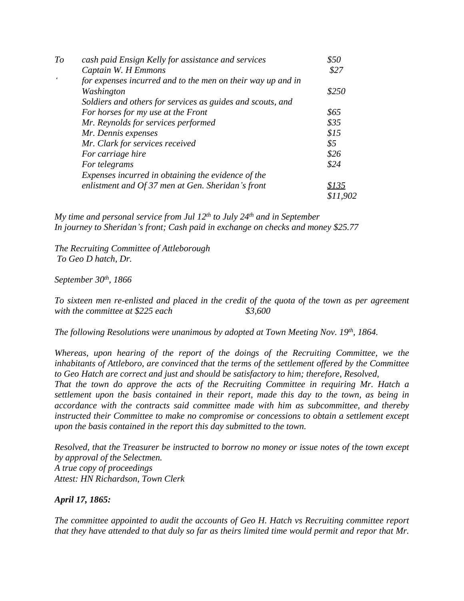| To | cash paid Ensign Kelly for assistance and services          | \$50     |
|----|-------------------------------------------------------------|----------|
|    | Captain W. H Emmons                                         | \$27     |
|    | for expenses incurred and to the men on their way up and in |          |
|    | Washington                                                  | \$250    |
|    | Soldiers and others for services as guides and scouts, and  |          |
|    | For horses for my use at the Front                          | \$65     |
|    | Mr. Reynolds for services performed                         | \$35     |
|    | Mr. Dennis expenses                                         | \$15     |
|    | Mr. Clark for services received                             | \$5      |
|    | For carriage hire                                           | \$26     |
|    | For telegrams                                               | \$24     |
|    | Expenses incurred in obtaining the evidence of the          |          |
|    | enlistment and Of 37 men at Gen. Sheridan's front           | \$135    |
|    |                                                             | \$11,902 |

*My time and personal service from Jul 12th to July 24th and in September In journey to Sheridan's front; Cash paid in exchange on checks and money \$25.77*

*The Recruiting Committee of Attleborough To Geo D hatch, Dr.*

### *September 30th, 1866*

*To sixteen men re-enlisted and placed in the credit of the quota of the town as per agreement with the committee at \$225 each \$3,600*

*The following Resolutions were unanimous by adopted at Town Meeting Nov. 19th, 1864.*

*Whereas, upon hearing of the report of the doings of the Recruiting Committee, we the inhabitants of Attleboro, are convinced that the terms of the settlement offered by the Committee to Geo Hatch are correct and just and should be satisfactory to him; therefore, Resolved,*

*That the town do approve the acts of the Recruiting Committee in requiring Mr. Hatch a settlement upon the basis contained in their report, made this day to the town, as being in accordance with the contracts said committee made with him as subcommittee, and thereby instructed their Committee to make no compromise or concessions to obtain a settlement except upon the basis contained in the report this day submitted to the town.*

*Resolved, that the Treasurer be instructed to borrow no money or issue notes of the town except by approval of the Selectmen. A true copy of proceedings Attest: HN Richardson, Town Clerk*

### *April 17, 1865:*

*The committee appointed to audit the accounts of Geo H. Hatch vs Recruiting committee report* that they have attended to that duly so far as theirs limited time would permit and repor that Mr.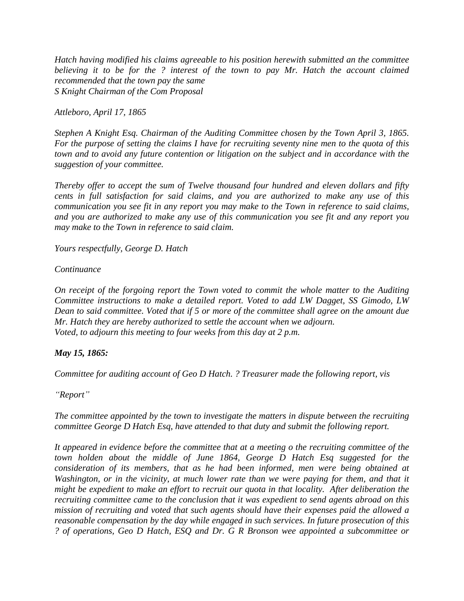*Hatch having modified his claims agreeable to his position herewith submitted an the committee believing it to be for the ? interest of the town to pay Mr. Hatch the account claimed recommended that the town pay the same S Knight Chairman of the Com Proposal*

*Attleboro, April 17, 1865*

*Stephen A Knight Esq. Chairman of the Auditing Committee chosen by the Town April 3, 1865.* For the purpose of setting the claims I have for recruiting seventy nine men to the quota of this *town and to avoid any future contention or litigation on the subject and in accordance with the suggestion of your committee.*

*Thereby offer to accept the sum of Twelve thousand four hundred and eleven dollars and fifty cents in full satisfaction for said claims, and you are authorized to make any use of this communication you see fit in any report you may make to the Town in reference to said claims, and you are authorized to make any use of this communication you see fit and any report you may make to the Town in reference to said claim.*

*Yours respectfully, George D. Hatch*

*Continuance*

*On receipt of the forgoing report the Town voted to commit the whole matter to the Auditing Committee instructions to make a detailed report. Voted to add LW Dagget, SS Gimodo, LW* Dean to said committee. Voted that if 5 or more of the committee shall agree on the amount due *Mr. Hatch they are hereby authorized to settle the account when we adjourn. Voted, to adjourn this meeting to four weeks from this day at 2 p.m.*

# *May 15, 1865:*

*Committee for auditing account of Geo D Hatch. ? Treasurer made the following report, vis*

*"Report"*

*The committee appointed by the town to investigate the matters in dispute between the recruiting committee George D Hatch Esq, have attended to that duty and submit the following report.*

*It appeared in evidence before the committee that at a meeting o the recruiting committee of the town holden about the middle of June 1864, George D Hatch Esq suggested for the consideration of its members, that as he had been informed, men were being obtained at Washington, or in the vicinity, at much lower rate than we were paying for them, and that it might be expedient to make an effort to recruit our quota in that locality. After deliberation the recruiting committee came to the conclusion that it was expedient to send agents abroad on this mission of recruiting and voted that such agents should have their expenses paid the allowed a reasonable compensation by the day while engaged in such services. In future prosecution of this ? of operations, Geo D Hatch, ESQ and Dr. G R Bronson wee appointed a subcommittee or*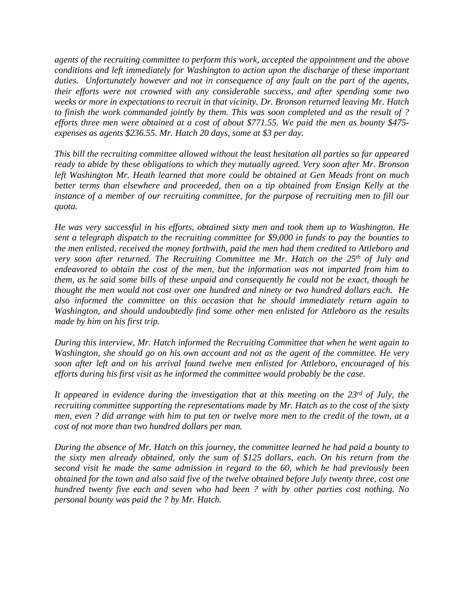*agents of the recruiting committee to perform this work, accepted the appointment and the above conditions and left immediately for Washington to action upon the discharge of these important duties. Unfortunately however and not in consequence of any fault on the part of the agents, their efforts were not crowned with any considerable success, and after spending some two weeks or more in expectations to recruit in that vicinity. Dr. Bronson returned leaving Mr. Hatch to finish the work commanded jointly by them. This was soon completed and as the result of ? efforts three men were obtained at a cost of about \$771.55. We paid the men as bounty \$475 expenses as agents \$236.55. Mr. Hatch 20 days, some at \$3 per day.*

*This bill the recruiting committee allowed without the least hesitation all parties so far appeared ready to abide by these obligations to which they mutually agreed. Very soon after Mr. Bronson left Washington Mr. Heath learned that more could be obtained at Gen Meads front on much better terms than elsewhere and proceeded, then on a tip obtained from Ensign Kelly at the instance of a member of our recruiting committee, for the purpose of recruiting men to fill our quota.*

*He was very successful in his efforts, obtained sixty men and took them up to Washington. He sent a telegraph dispatch to the recruiting committee for \$9,000 in funds to pay the bounties to the men enlisted, received the money forthwith, paid the men had them credited to Attleboro and very soon after returned. The Recruiting Committee me Mr. Hatch on the 25th of July and endeavored to obtain the cost of the men, but the information was not imparted from him to them, as he said some bills of these unpaid and consequently he could not be exact, though he thought the men would not cost over one hundred and ninety or two hundred dollars each. He also informed the committee on this occasion that he should immediately return again to Washington, and should undoubtedly find some other men enlisted for Attleboro as the results made by him on his first trip.*

*During this interview, Mr. Hatch informed the Recruiting Committee that when he went again to Washington, she should go on his own account and not as the agent of the committee. He very soon after left and on his arrival found twelve men enlisted for Attleboro, encouraged of his efforts during his first visit as he informed the committee would probably be the case.*

*It appeared in evidence during the investigation that at this meeting on the 23rd of July, the recruiting committee supporting the representations made by Mr. Hatch as to the cost of the sixty* men, even? did arrange with him to put ten or twelve more men to the credit of the town, at a *cost of not more than two hundred dollars per man.*

*During the absence of Mr. Hatch on this journey, the committee learned he had paid a bounty to the sixty men already obtained, only the sum of \$125 dollars, each. On his return from the second visit he made the same admission in regard to the 60, which he had previously been obtained for the town and also said five of the twelve obtained before July twenty three, cost one hundred twenty five each and seven who had been ? with by other parties cost nothing. No personal bounty was paid the ? by Mr. Hatch.*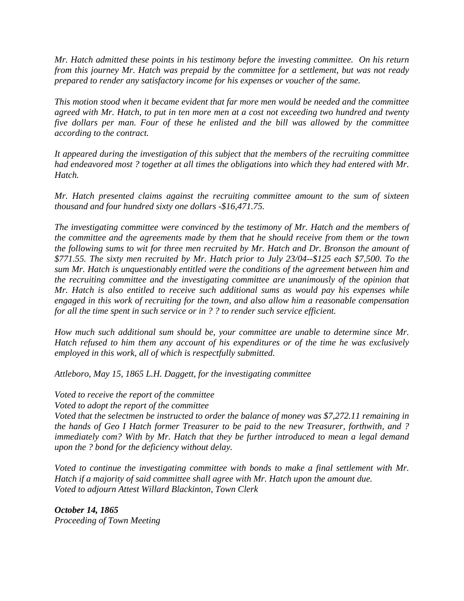*Mr. Hatch admitted these points in his testimony before the investing committee. On his return from this journey Mr. Hatch was prepaid by the committee for a settlement, but was not ready prepared to render any satisfactory income for his expenses or voucher of the same.*

*This motion stood when it became evident that far more men would be needed and the committee* agreed with Mr. Hatch, to put in ten more men at a cost not exceeding two hundred and twenty *five dollars per man. Four of these he enlisted and the bill was allowed by the committee according to the contract.*

*It appeared during the investigation of this subject that the members of the recruiting committee had endeavored most ? together at all times the obligations into which they had entered with Mr. Hatch.*

*Mr. Hatch presented claims against the recruiting committee amount to the sum of sixteen thousand and four hundred sixty one dollars -\$16,471.75.*

*The investigating committee were convinced by the testimony of Mr. Hatch and the members of the committee and the agreements made by them that he should receive from them or the town the following sums to wit for three men recruited by Mr. Hatch and Dr. Bronson the amount of \$771.55. The sixty men recruited by Mr. Hatch prior to July 23/04--\$125 each \$7,500. To the sum Mr. Hatch is unquestionably entitled were the conditions of the agreement between him and the recruiting committee and the investigating committee are unanimously of the opinion that Mr. Hatch is also entitled to receive such additional sums as would pay his expenses while engaged in this work of recruiting for the town, and also allow him a reasonable compensation for all the time spent in such service or in ? ? to render such service efficient.*

*How much such additional sum should be, your committee are unable to determine since Mr. Hatch refused to him them any account of his expenditures or of the time he was exclusively employed in this work, all of which is respectfully submitted.*

*Attleboro, May 15, 1865 L.H. Daggett, for the investigating committee*

*Voted to receive the report of the committee*

*Voted to adopt the report of the committee*

*Voted that the selectmen be instructed to order the balance of money was \$7,272.11 remaining in the hands of Geo I Hatch former Treasurer to be paid to the new Treasurer, forthwith, and ? immediately com? With by Mr. Hatch that they be further introduced to mean a legal demand upon the ? bond for the deficiency without delay.*

*Voted to continue the investigating committee with bonds to make a final settlement with Mr. Hatch if a majority of said committee shall agree with Mr. Hatch upon the amount due. Voted to adjourn Attest Willard Blackinton, Town Clerk*

*October 14, 1865 Proceeding of Town Meeting*